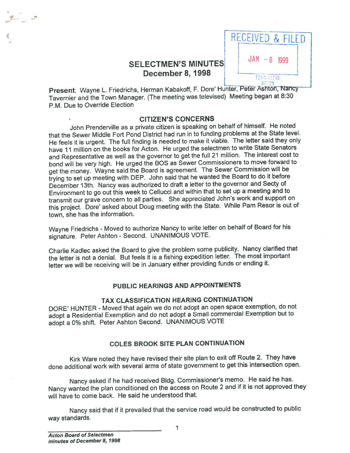

Present: Wayne L. Friedrichs, Herman Kabakoff, F. Dore' Hunter, Peter Ashton, Nancy Tavernier and the Town Manager. (The meeting was televised) Meeting began at 8:30 P.M. Due to Override Election

### CITIZEN'S CONCERNS

John Prenderville as <sup>a</sup> private citizen is speaking on behalf of himself. He noted that the Sewer Middle Fort Pond District had run in to funding problems at the State level. He feels it is urgent. The full finding is needed to make it viable. The letter said they only have 11 million on the books for Acton. He urged the selectmen to write State Senators and Representative as well as the governor to ge<sup>t</sup> the full <sup>21</sup> million. The interest cost to bond will be very high. He urge<sup>d</sup> the BOS as Sewer Commissioners to move forward to ge<sup>t</sup> the money. Wayne said the Board is agreement. The Sewer Commission will be trying to set up meeting with DEP. John said that he wanted the Board to do it before December 13th. Nancy was authorized to draft <sup>a</sup> letter to the governor and Secty of Environment to go out this week to Cellucci and within that to set up <sup>a</sup> meeting and to transmit our grave concern to all parties. She appreciated John's work and suppor<sup>t</sup> on this project. Dore' asked about Doug meeting with the State. While Pam Resor is out of town, she has the information.

Wayne Friedrichs - Moved to authorize Nancy to write letter on behalf of Board for his signature. Peter Ashton - Second. UNANIMOUS VOTE.

Charlie Kadlec asked the Board to <sup>g</sup>ive the problem some publicity. Nancy clarified that the letter is not <sup>a</sup> denial. But feels it is <sup>a</sup> fishing expedition letter. The most important letter we will be receiving will be in January either providing funds or ending it.

## PUBLIC HEARINGS AND APPOINTMENTS

# TAX CLASSIFICATION HEARING CONTINUATION

DORE' HUNTER - Moved that again we do not adopt an open space exemption, do not adopt <sup>a</sup> Residential Exemption and do not adopt <sup>a</sup> Small commercial Exemption but to adopt <sup>a</sup> 0% shift. Peter Ashton Second. UNANIMOUS VOTE

# COLES BROOK SITE PLAN CONTINUATION

Kirk Ware noted they have revised their site <sup>p</sup>lan to exit off Route 2. They have done additional work with several arms of state governmen<sup>t</sup> to ge<sup>t</sup> this intersection open.

Nancy asked if he had received Bldg. Commissioner's memo. He said he has. Nancy wanted the <sup>p</sup>lan conditioned on the access on Route <sup>2</sup> and if it is not approve<sup>d</sup> they will have to come back. He said he understood that.

Nancy said that if it prevailed that the service road would be constructed to public way standards.

.,-- ..

 $\mathbf 1$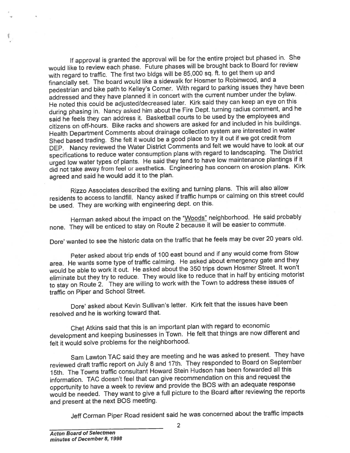If approva<sup>l</sup> is granted the approva<sup>l</sup> will be for the entire project but <sup>p</sup>hased in. She would like to review each <sup>p</sup>hase. Future <sup>p</sup>hases will be brought back to Board for review with regar<sup>d</sup> to traffic. The first two bldgs will be 85,000 sq. ft. to ge<sup>t</sup> them up and financially set. The board would like <sup>a</sup> sidewalk for Hosmer to Robinwood, and a pedestrian and bike path to Kelley's Corner. With regar<sup>d</sup> to parking issues they have been addressed and they have <sup>p</sup>lanned it in concert with the current number under the bylaw. He noted this could be adjusted/decreased later. Kirk said they can keep an eye on this during <sup>p</sup>hasing in. Nancy asked him about the Fire Dept. turning radius comment, and he said he feels they can address it. Basketball courts to be used by the employees and citizens on off-hours. Bike racks and showers are asked for and included in his buildings. Health Department Comments about drainage collection system are interested in water Shed based trading. She felt it would be <sup>a</sup> goo<sup>d</sup> <sup>p</sup>lace to try it out if we go<sup>t</sup> credit from DEP. Nancy reviewed the Water District Comments and felt we would have to look at our specifications to reduce water consumption <sup>p</sup>lans with regar<sup>d</sup> to landscaping. The District urge<sup>d</sup> low water types of <sup>p</sup>lants. He said they tend to have low maintenance <sup>p</sup>lantings if it did not take away from feel or aesthetics. Engineering has concern on erosion <sup>p</sup>lans. Kirk agree<sup>d</sup> and said he would add it to the <sup>p</sup>lan.

Rizzo Associates described the exiting and turning <sup>p</sup>lans. This will also allow residents to access to landfill. Nancy asked if traffic humps or calming on this street could be used. They are working with engineering dept. on this.

Herman asked about the impact on the "Woods" neighborhood. He said probably none. They will be enticed to stay on Route 2 because it will be easier to commute.

Dore' wanted to see the historic data on the traffic that he feels may be over <sup>20</sup> years old.

Peter asked about trip ends of <sup>100</sup> east bound and if any would come from Stow area. He wants some type of traffic calming. He asked about emergency gate and they would be able to work it out. He asked about the <sup>350</sup> trips down Hosmer Street. It won't eliminate but they try to reduce. They would like to reduce that in half by enticing motorist to stay on Route 2. They are willing to work with the Town to address these issues of traffic on Piper and School Street.

Dore' asked about Kevin Sullivan's letter. Kirk felt that the issues have been resolved and he is working toward that.

Chet Atkins said that this is an important <sup>p</sup>lan with regar<sup>d</sup> to economic development and keeping businesses in Town. He felt that things are now different and felt it would solve problems for the neighborhood.

Sam Lawton TAG said they are meeting and he was asked to present. They have reviewed draft traffic repor<sup>t</sup> on July <sup>8</sup> and 17th. They responded to Board on September 15th. The Towns traffic consultant Howard Stein Hudson has been forwarded all this information. TAC doesn't feel that can <sup>g</sup>ive recommendation on this and reques<sup>t</sup> the opportunity to have <sup>a</sup> week to review and provide the BOS with an adequate response would be needed. They want to give <sup>a</sup> full <sup>p</sup>icture to the Board after reviewing the reports and presen<sup>t</sup> at the next BOS meeting.

Jeff Corman Piper Road resident said he was concerned about the traffic impacts

2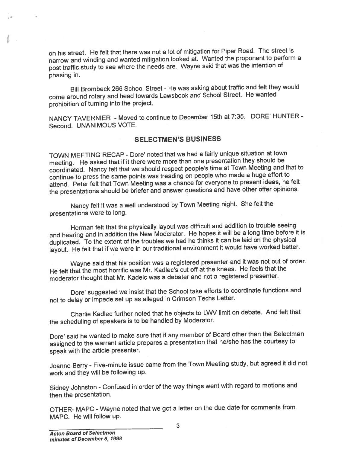on his street. He felt that there was not <sup>a</sup> lot of mitigation for Piper Road. The Street is narrow and winding and wanted mitigation looked at. Wanted the proponen<sup>t</sup> to perform <sup>a</sup> pos<sup>t</sup> traffic study to see where the needs are. Wayne said that was the intention of phasing in.

Bill Brombeck <sup>266</sup> School Street - He was asking about traffic and felt they would come around rotary and head towards Lawsbook and School Street. He wanted prohibition of turning into the project.

NANCY TAVERNIER - Moved to continue to December 15th at 7:35. DORE' HUNTER - Second. UNANIMOUS VOTE.

## SELECTMEN'S BUSINESS

TOWN MEETING RECAP - Dote' noted that we had <sup>a</sup> fairly unique situation at town meeting. He asked that if it there were more than one presentation they should be coordinated. Nancy felt that we should respec<sup>t</sup> people's time at Town Meeting and that to continue to press the same points was treading on people who made <sup>a</sup> huge effort to attend. Peter felt that Town Meeting was <sup>a</sup> chance for everyone to presen<sup>t</sup> ideas, he felt the presentations should be briefer and answer questions and have other offer opinions.

Nancy felt it was <sup>a</sup> well understood by Town Meeting night. She felt the presentations were to long.

Herman felt that the <sup>p</sup>hysically layout was difficult and addition to trouble seeing and hearing and in addition the New Moderator. He hopes it will be <sup>a</sup> long time before it is duplicated. To the extent of the troubles we had he thinks it can be laid on the <sup>p</sup>hysical layout. He felt that if we were in our traditional environment it would have worked better.

Wayne said that his position was <sup>a</sup> registered presenter and it was not out of order. He felt that the most horrific was Mr. Kadlec's cut off at the knees. He feels that the moderator thought that Mr. KadeIc was <sup>a</sup> debater and not <sup>a</sup> registered presenter.

Dore' suggested we insist that the School take efforts to coordinate functions and not to delay or impede set up as alleged in Crimson Techs Letter.

Charlie Kadlec further noted that he objects to LW\l limit on debate. And felt that the scheduling of speakers is to be handled by Moderator.

Dore' said he wanted to make sure that if any member of Board other than the Selectman assigned to the warrant article prepares <sup>a</sup> presentation that he/she has the courtesy to spea<sup>k</sup> with the article presenter.

Joanne Berry - Five-minute issue came from the Town Meeting study, but agree<sup>d</sup> it did not work and they will be following up.

Sidney Johnston -Confused in order of the way things went with regar<sup>d</sup> to motions and then the presentation.

OTHER- MAPC -Wayne noted that we go<sup>t</sup> <sup>a</sup> letter on the due date for comments from MAPC. He will follow up.